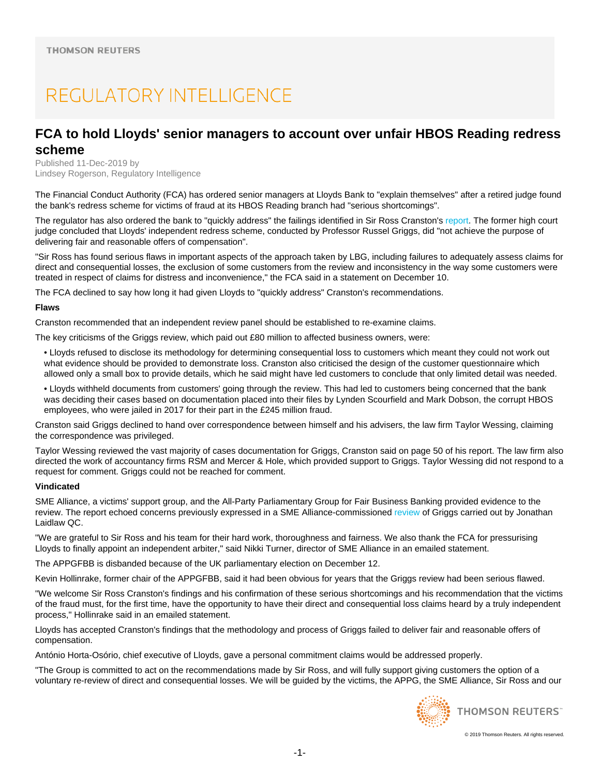# REGULATORY INTELLIGENCE

## **FCA to hold Lloyds' senior managers to account over unfair HBOS Reading redress scheme**

Published 11-Dec-2019 by Lindsey Rogerson, Regulatory Intelligence

The Financial Conduct Authority (FCA) has ordered senior managers at Lloyds Bank to "explain themselves" after a retired judge found the bank's redress scheme for victims of fraud at its HBOS Reading branch had "serious shortcomings".

The regulator has also ordered the bank to "quickly address" the failings identified in Sir Ross Cranston's report. The former high court judge concluded that Lloyds' independent redress scheme, conducted by Professor Russel Griggs, did "not achieve the purpose of delivering fair and reasonable offers of compensation".

"Sir Ross has found serious flaws in important aspects of the approach taken by LBG, including failures to adequately assess claims for direct and consequential losses, the exclusion of some customers from the review and inconsistency in the way some customers were treated in respect of claims for distress and inconvenience," the FCA said in a statement on December 10.

The FCA declined to say how long it had given Lloyds to "quickly address" Cranston's recommendations.

#### **Flaws**

Cranston recommended that an independent review panel should be established to re-examine claims.

The key criticisms of the Griggs review, which paid out £80 million to affected business owners, were:

- Lloyds refused to disclose its methodology for determining consequential loss to customers which meant they could not work out what evidence should be provided to demonstrate loss. Cranston also criticised the design of the customer questionnaire which allowed only a small box to provide details, which he said might have led customers to conclude that only limited detail was needed.
- Lloyds withheld documents from customers' going through the review. This had led to customers being concerned that the bank was deciding their cases based on documentation placed into their files by Lynden Scourfield and Mark Dobson, the corrupt HBOS employees, who were jailed in 2017 for their part in the £245 million fraud.

Cranston said Griggs declined to hand over correspondence between himself and his advisers, the law firm Taylor Wessing, claiming the correspondence was privileged.

Taylor Wessing reviewed the vast majority of cases documentation for Griggs, Cranston said on page 50 of his report. The law firm also directed the work of accountancy firms RSM and Mercer & Hole, which provided support to Griggs. Taylor Wessing did not respond to a request for comment. Griggs could not be reached for comment.

#### **Vindicated**

SME Alliance, a victims' support group, and the All-Party Parliamentary Group for Fair Business Banking provided evidence to the review. The report echoed concerns previously expressed in a SME Alliance-commissioned review of Griggs carried out by Jonathan Laidlaw QC.

"We are grateful to Sir Ross and his team for their hard work, thoroughness and fairness. We also thank the FCA for pressurising Lloyds to finally appoint an independent arbiter," said Nikki Turner, director of SME Alliance in an emailed statement.

The APPGFBB is disbanded because of the UK parliamentary election on December 12.

Kevin Hollinrake, former chair of the APPGFBB, said it had been obvious for years that the Griggs review had been serious flawed.

"We welcome Sir Ross Cranston's findings and his confirmation of these serious shortcomings and his recommendation that the victims of the fraud must, for the first time, have the opportunity to have their direct and consequential loss claims heard by a truly independent process," Hollinrake said in an emailed statement.

Lloyds has accepted Cranston's findings that the methodology and process of Griggs failed to deliver fair and reasonable offers of compensation.

António Horta-Osório, chief executive of Lloyds, gave a personal commitment claims would be addressed properly.

"The Group is committed to act on the recommendations made by Sir Ross, and will fully support giving customers the option of a voluntary re-review of direct and consequential losses. We will be guided by the victims, the APPG, the SME Alliance, Sir Ross and our